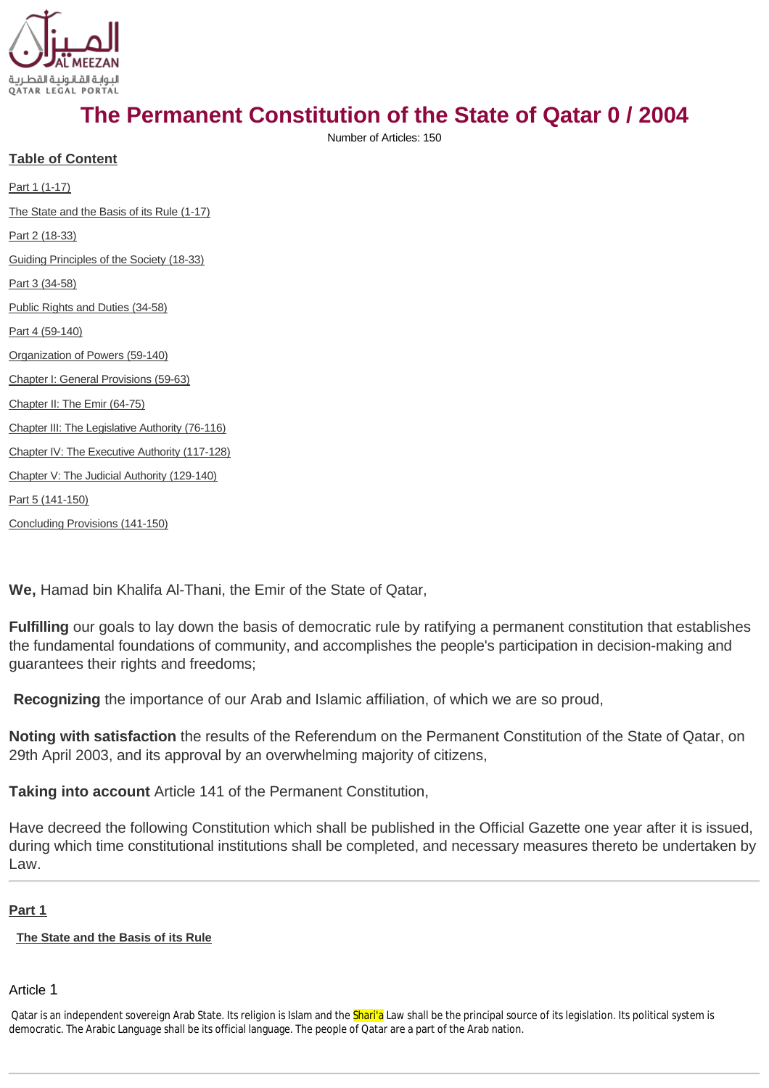

# **The Permanent Constitution of the State of Qatar 0 / 2004**

Number of Articles: 150

**Table of Content**

[Part 1 \(1-17\)](#page-0-0) [The State and the Basis of its Rule \(1-17\)](#page-0-1) [Part 2 \(18-33\)](#page-3-0) [Guiding Principles of the Society \(18-33\)](#page-3-1) [Part 3 \(34-58\)](#page-5-0) [Public Rights and Duties \(34-58\)](#page-5-1) [Part 4 \(59-140\)](#page-7-0) [Organization of Powers \(59-140\)](#page-7-1) [Chapter I: General Provisions \(59-63\)](#page-8-0) [Chapter II: The Emir \(64-75\)](#page-8-1) [Chapter III: The Legislative Authority \(76-116\)](#page-10-0) [Chapter IV: The Executive Authority \(117-128\)](#page-16-0) [Chapter V: The Judicial Authority \(129-140\)](#page-18-0) [Part 5 \(141-150\)](#page-19-0)

[Concluding Provisions \(141-150\)](#page-19-1)

**We,** Hamad bin Khalifa Al-Thani, the Emir of the State of Qatar,

**Fulfilling** our goals to lay down the basis of democratic rule by ratifying a permanent constitution that establishes the fundamental foundations of community, and accomplishes the people's participation in decision-making and quarantees their rights and freedoms:

**Recognizing** the importance of our Arab and Islamic affiliation, of which we are so proud,

**Noting with satisfaction** the results of the Referendum on the Permanent Constitution of the State of Qatar, on 29th April 2003, and its approval by an overwhelming majority of citizens,

**Taking into account** Article 141 of the Permanent Constitution,

Have decreed the following Constitution which shall be published in the Official Gazette one year after it is issued, during which time constitutional institutions shall be completed, and necessary measures thereto be undertaken by Law.

# <span id="page-0-0"></span>**[Part 1](http://www.almeezan.qa/DownloadPage.aspx?Target=All&type=2&lawID=2284&language=en#)**

#### <span id="page-0-1"></span>**[The State and the Basis of its Rule](http://www.almeezan.qa/DownloadPage.aspx?Target=All&type=2&lawID=2284&language=en#)**

#### Article 1

Qatar is an independent sovereign Arab State. Its religion is Islam and the **Shari'a** Law shall be the principal source of its legislation. Its political system is democratic. The Arabic Language shall be its official language. The people of Qatar are a part of the Arab nation.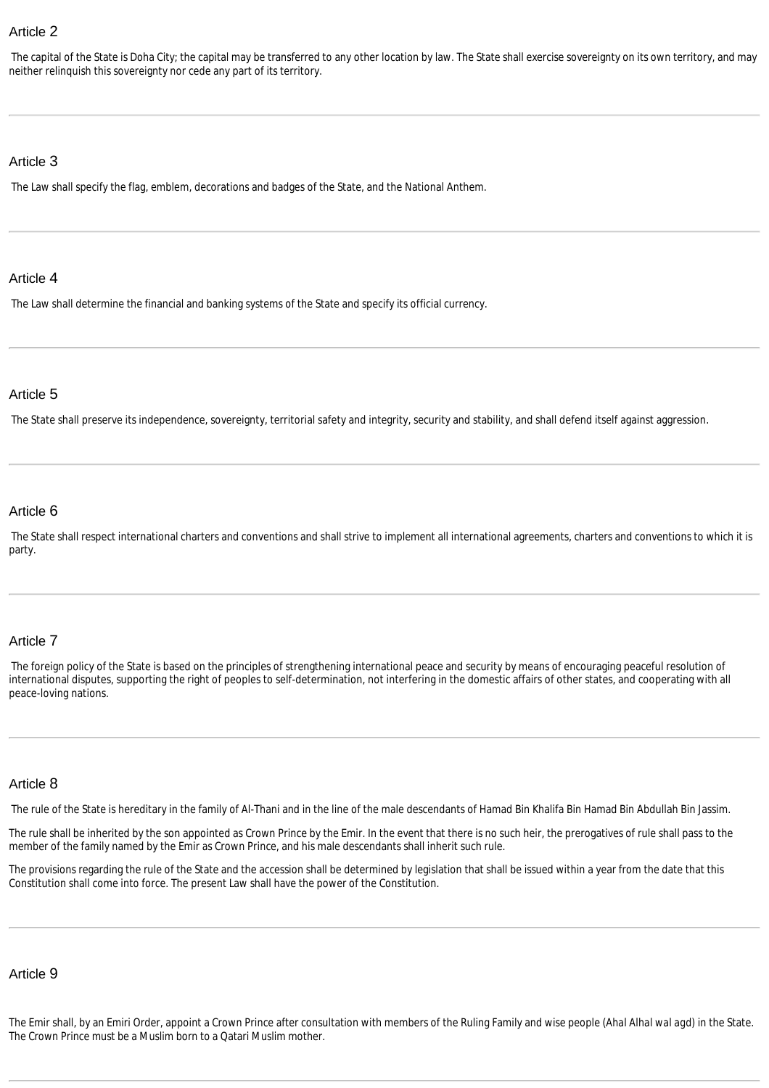The capital of the State is Doha City; the capital may be transferred to any other location by law. The State shall exercise sovereignty on its own territory, and may neither relinquish this sovereignty nor cede any part of its territory.

#### Article 3

The Law shall specify the flag, emblem, decorations and badges of the State, and the National Anthem.

#### Article 4

The Law shall determine the financial and banking systems of the State and specify its official currency.

### Article 5

The State shall preserve its independence, sovereignty, territorial safety and integrity, security and stability, and shall defend itself against aggression.

#### Article 6

The State shall respect international charters and conventions and shall strive to implement all international agreements, charters and conventions to which it is party.

#### Article 7

The foreign policy of the State is based on the principles of strengthening international peace and security by means of encouraging peaceful resolution of international disputes, supporting the right of peoples to self-determination, not interfering in the domestic affairs of other states, and cooperating with all peace-loving nations.

### Article 8

The rule of the State is hereditary in the family of Al-Thani and in the line of the male descendants of Hamad Bin Khalifa Bin Hamad Bin Abdullah Bin Jassim.

The rule shall be inherited by the son appointed as Crown Prince by the Emir. In the event that there is no such heir, the prerogatives of rule shall pass to the member of the family named by the Emir as Crown Prince, and his male descendants shall inherit such rule.

The provisions regarding the rule of the State and the accession shall be determined by legislation that shall be issued within a year from the date that this Constitution shall come into force. The present Law shall have the power of the Constitution.

### Article 9

The Emir shall, by an Emiri Order, appoint a Crown Prince after consultation with members of the Ruling Family and wise people (*Ahal Alhal wal agd*) in the State. The Crown Prince must be a Muslim born to a Qatari Muslim mother.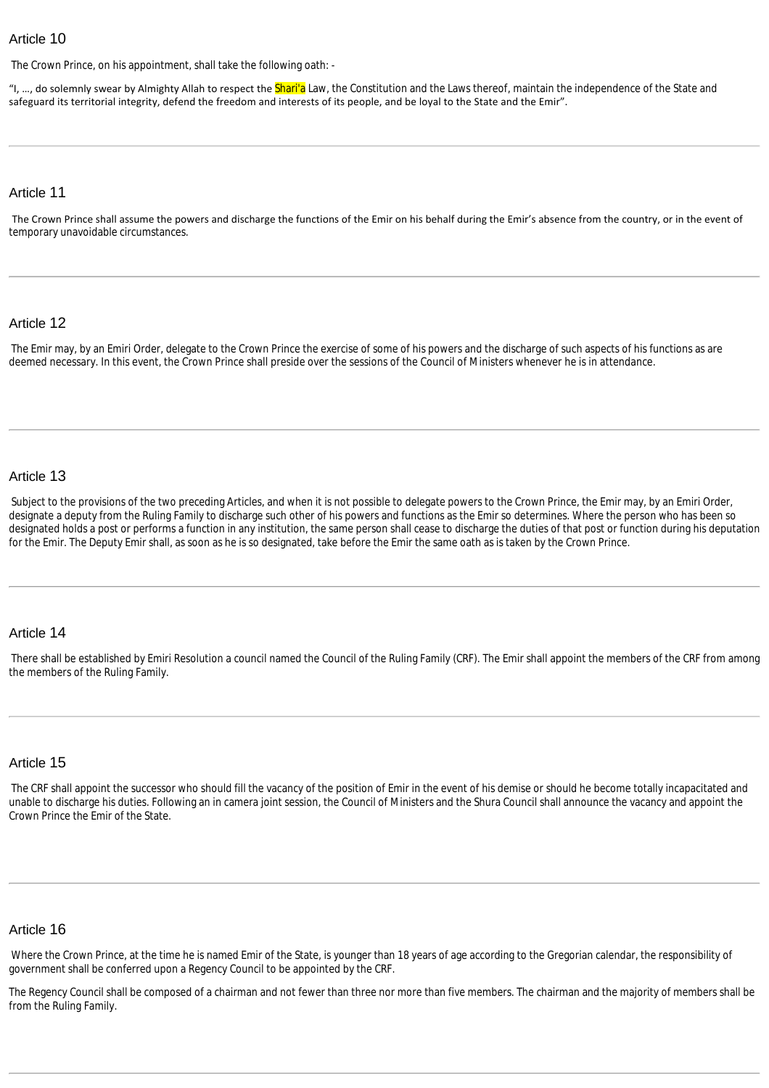The Crown Prince, on his appointment, shall take the following oath: -

"I, ..., do solemnly swear by Almighty Allah to respect the Shari'a Law, the Constitution and the Laws thereof, maintain the independence of the State and safeguard its territorial integrity, defend the freedom and interests of its people, and be loyal to the State and the Emir".

#### Article 11

The Crown Prince shall assume the powers and discharge the functions of the Emir on his behalf during the Emir's absence from the country, or in the event of temporary unavoidable circumstances.

#### Article 12

The Emir may, by an Emiri Order, delegate to the Crown Prince the exercise of some of his powers and the discharge of such aspects of his functions as are deemed necessary. In this event, the Crown Prince shall preside over the sessions of the Council of Ministers whenever he is in attendance.

#### Article 13

Subject to the provisions of the two preceding Articles, and when it is not possible to delegate powers to the Crown Prince, the Emir may, by an Emiri Order, designate a deputy from the Ruling Family to discharge such other of his powers and functions as the Emir so determines. Where the person who has been so designated holds a post or performs a function in any institution, the same person shall cease to discharge the duties of that post or function during his deputation for the Emir. The Deputy Emir shall, as soon as he is so designated, take before the Emir the same oath as is taken by the Crown Prince.

#### Article 14

There shall be established by Emiri Resolution a council named the Council of the Ruling Family (CRF). The Emir shall appoint the members of the CRF from among the members of the Ruling Family.

#### Article 15

The CRF shall appoint the successor who should fill the vacancy of the position of Emir in the event of his demise or should he become totally incapacitated and unable to discharge his duties. Following an in camera joint session, the Council of Ministers and the Shura Council shall announce the vacancy and appoint the Crown Prince the Emir of the State.

#### Article 16

Where the Crown Prince, at the time he is named Emir of the State, is younger than 18 years of age according to the Gregorian calendar, the responsibility of government shall be conferred upon a Regency Council to be appointed by the CRF.

The Regency Council shall be composed of a chairman and not fewer than three nor more than five members. The chairman and the majority of members shall be from the Ruling Family.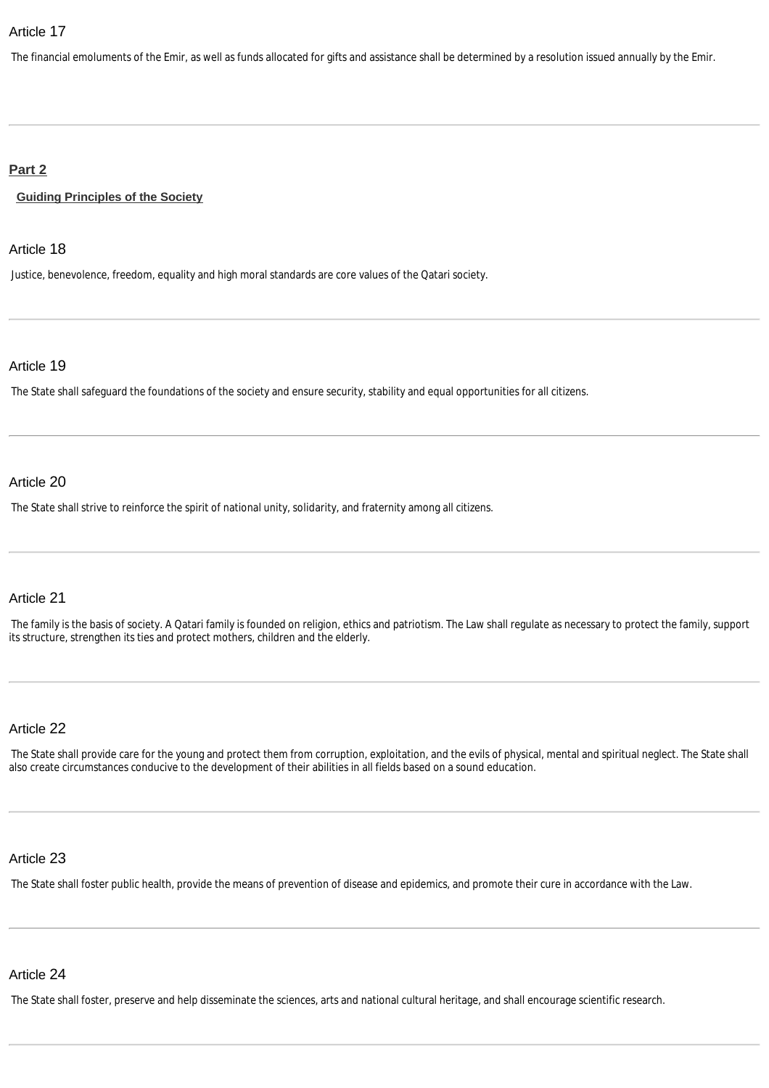The financial emoluments of the Emir, as well as funds allocated for gifts and assistance shall be determined by a resolution issued annually by the Emir.

### <span id="page-3-0"></span>**[Part 2](http://www.almeezan.qa/DownloadPage.aspx?Target=All&type=2&lawID=2284&language=en#)**

<span id="page-3-1"></span>**[Guiding Principles of the Society](http://www.almeezan.qa/DownloadPage.aspx?Target=All&type=2&lawID=2284&language=en#)**

#### Article 18

Justice, benevolence, freedom, equality and high moral standards are core values of the Qatari society.

#### Article 19

The State shall safeguard the foundations of the society and ensure security, stability and equal opportunities for all citizens.

#### Article 20

The State shall strive to reinforce the spirit of national unity, solidarity, and fraternity among all citizens.

#### Article 21

The family is the basis of society. A Qatari family is founded on religion, ethics and patriotism. The Law shall regulate as necessary to protect the family, support its structure, strengthen its ties and protect mothers, children and the elderly.

# Article 22

The State shall provide care for the young and protect them from corruption, exploitation, and the evils of physical, mental and spiritual neglect. The State shall also create circumstances conducive to the development of their abilities in all fields based on a sound education.

#### Article 23

The State shall foster public health, provide the means of prevention of disease and epidemics, and promote their cure in accordance with the Law.

#### Article 24

The State shall foster, preserve and help disseminate the sciences, arts and national cultural heritage, and shall encourage scientific research.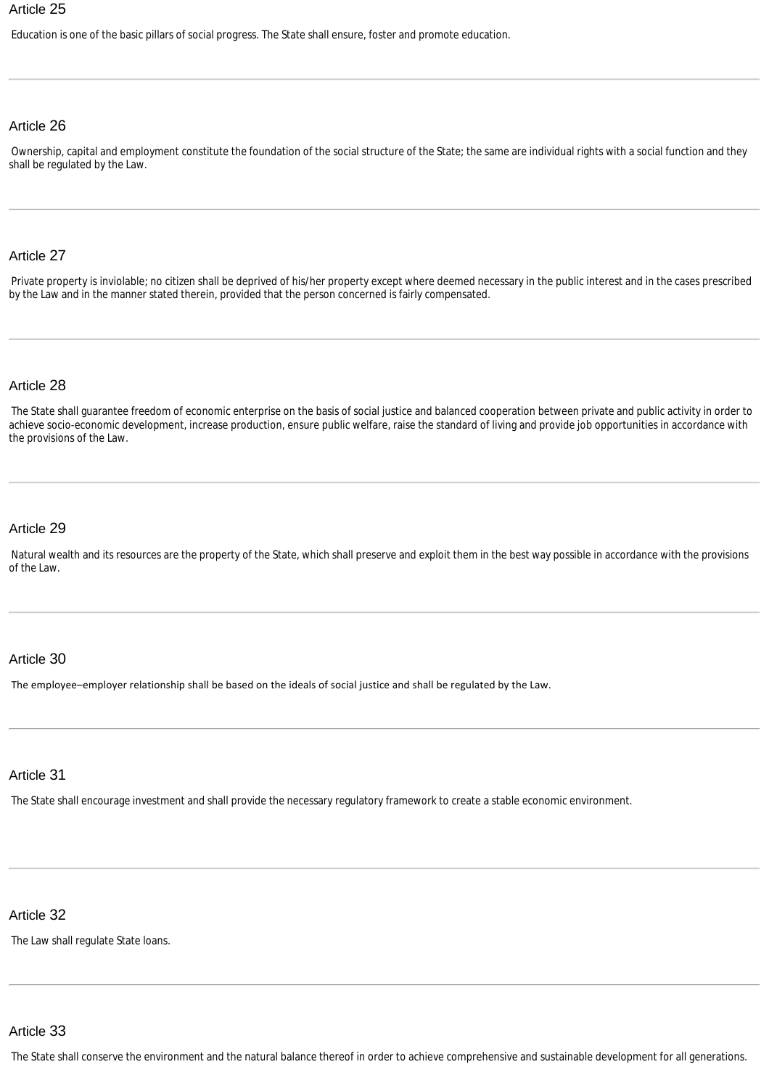Education is one of the basic pillars of social progress. The State shall ensure, foster and promote education.

# Article 26

Ownership, capital and employment constitute the foundation of the social structure of the State; the same are individual rights with a social function and they shall be regulated by the Law.

#### Article 27

Private property is inviolable; no citizen shall be deprived of his/her property except where deemed necessary in the public interest and in the cases prescribed by the Law and in the manner stated therein, provided that the person concerned is fairly compensated.

#### Article 28

The State shall guarantee freedom of economic enterprise on the basis of social justice and balanced cooperation between private and public activity in order to achieve socio-economic development, increase production, ensure public welfare, raise the standard of living and provide job opportunities in accordance with the provisions of the Law.

#### Article 29

Natural wealth and its resources are the property of the State, which shall preserve and exploit them in the best way possible in accordance with the provisions of the Law.

#### Article 30

The employee–employer relationship shall be based on the ideals of social justice and shall be regulated by the Law.

#### Article 31

The State shall encourage investment and shall provide the necessary regulatory framework to create a stable economic environment.

# Article 32

The Law shall regulate State loans.

# Article 33

The State shall conserve the environment and the natural balance thereof in order to achieve comprehensive and sustainable development for all generations.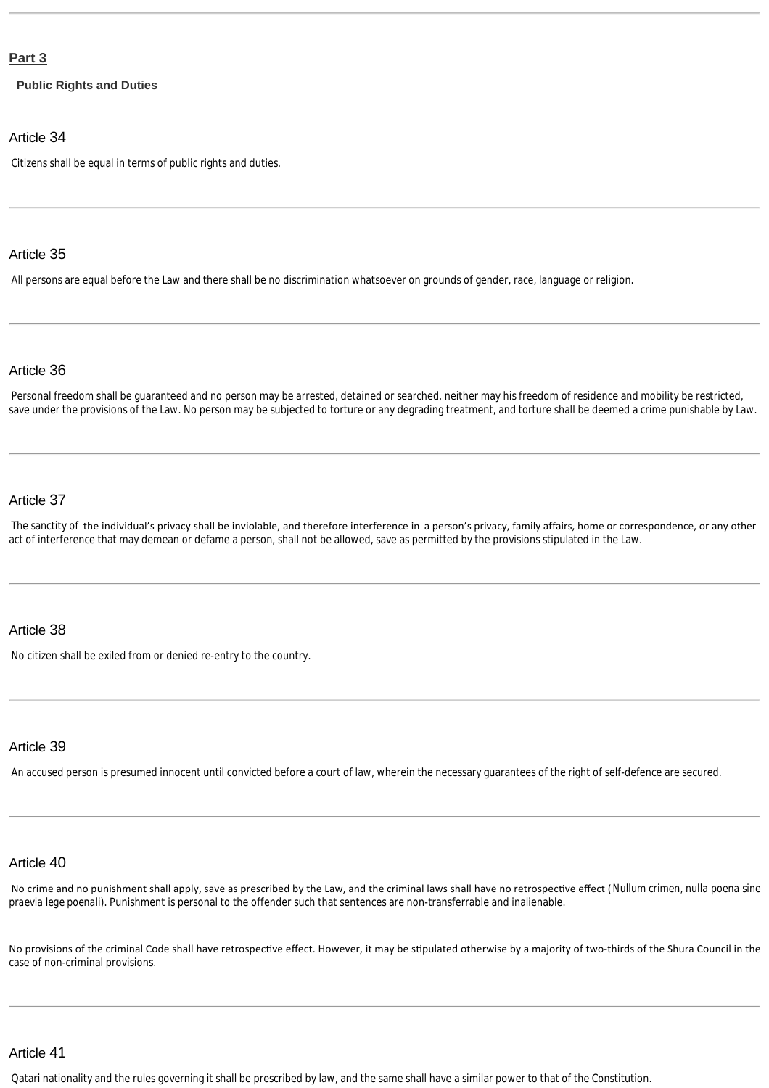#### <span id="page-5-0"></span>**[Part 3](http://www.almeezan.qa/DownloadPage.aspx?Target=All&type=2&lawID=2284&language=en#)**

<span id="page-5-1"></span>**[Public Rights and Duties](http://www.almeezan.qa/DownloadPage.aspx?Target=All&type=2&lawID=2284&language=en#)**

#### Article 34

Citizens shall be equal in terms of public rights and duties.

#### Article 35

All persons are equal before the Law and there shall be no discrimination whatsoever on grounds of gender, race, language or religion.

#### Article 36

Personal freedom shall be guaranteed and no person may be arrested, detained or searched, neither may his freedom of residence and mobility be restricted, save under the provisions of the Law. No person may be subjected to torture or any degrading treatment, and torture shall be deemed a crime punishable by Law.

#### Article 37

The sanctity of the individual's privacy shall be inviolable, and therefore interference in a person's privacy, family affairs, home or correspondence, or any other act of interference that may demean or defame a person, shall not be allowed, save as permitted by the provisions stipulated in the Law.

#### Article 38

No citizen shall be exiled from or denied re-entry to the country.

# Article 39

An accused person is presumed innocent until convicted before a court of law, wherein the necessary guarantees of the right of self-defence are secured.

# Article 40

No crime and no punishment shall apply, save as prescribed by the Law, and the criminal laws shall have no retrospective effect (*Nullum crimen, nulla poena sine praevia lege poenali*). Punishment is personal to the offender such that sentences are non-transferrable and inalienable.

No provisions of the criminal Code shall have retrospective effect. However, it may be stipulated otherwise by a majority of two-thirds of the Shura Council in the case of non-criminal provisions.

# Article 41

Qatari nationality and the rules governing it shall be prescribed by law, and the same shall have a similar power to that of the Constitution.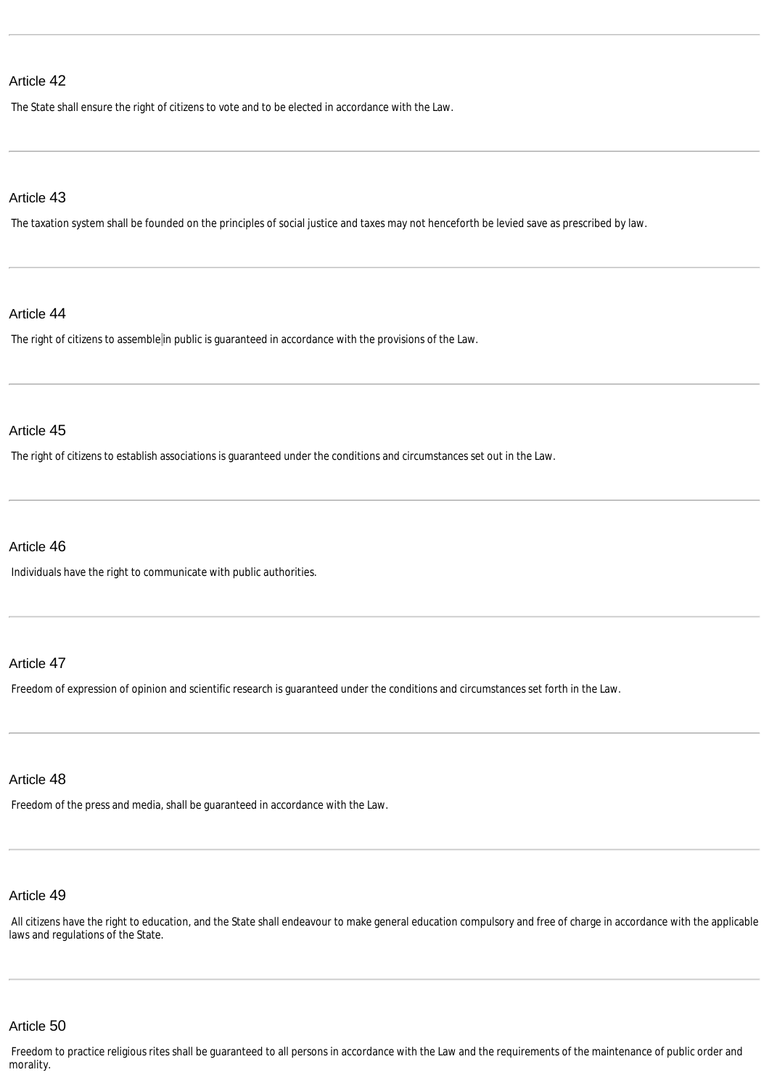The State shall ensure the right of citizens to vote and to be elected in accordance with the Law.

#### Article 43

The taxation system shall be founded on the principles of social justice and taxes may not henceforth be levied save as prescribed by law.

#### Article 44

The right of citizens to assemble in public is guaranteed in accordance with the provisions of the Law.

#### Article 45

The right of citizens to establish associations is guaranteed under the conditions and circumstances set out in the Law.

#### Article 46

Individuals have the right to communicate with public authorities.

#### Article 47

Freedom of expression of opinion and scientific research is guaranteed under the conditions and circumstances set forth in the Law.

#### Article 48

Freedom of the press and media, shall be guaranteed in accordance with the Law.

# Article 49

All citizens have the right to education, and the State shall endeavour to make general education compulsory and free of charge in accordance with the applicable laws and regulations of the State.

# Article 50

Freedom to practice religious rites shall be guaranteed to all persons in accordance with the Law and the requirements of the maintenance of public order and morality.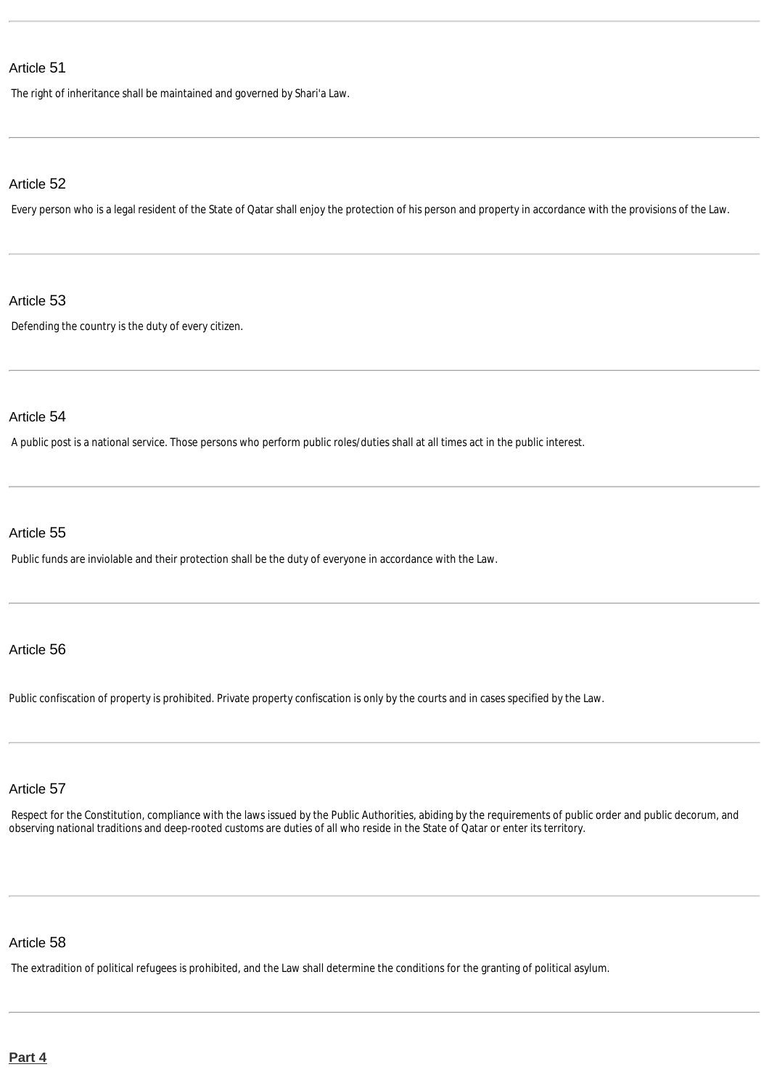The right of inheritance shall be maintained and governed by Shari'a Law.

### Article 52

Every person who is a legal resident of the State of Qatar shall enjoy the protection of his person and property in accordance with the provisions of the Law.

#### Article 53

Defending the country is the duty of every citizen.

# Article 54

A public post is a national service. Those persons who perform public roles/duties shall at all times act in the public interest.

# Article 55

Public funds are inviolable and their protection shall be the duty of everyone in accordance with the Law.

# Article 56

Public confiscation of property is prohibited. Private property confiscation is only by the courts and in cases specified by the Law.

# Article 57

Respect for the Constitution, compliance with the laws issued by the Public Authorities, abiding by the requirements of public order and public decorum, and observing national traditions and deep-rooted customs are duties of all who reside in the State of Qatar or enter its territory.

# Article 58

<span id="page-7-1"></span><span id="page-7-0"></span>The extradition of political refugees is prohibited, and the Law shall determine the conditions for the granting of political asylum.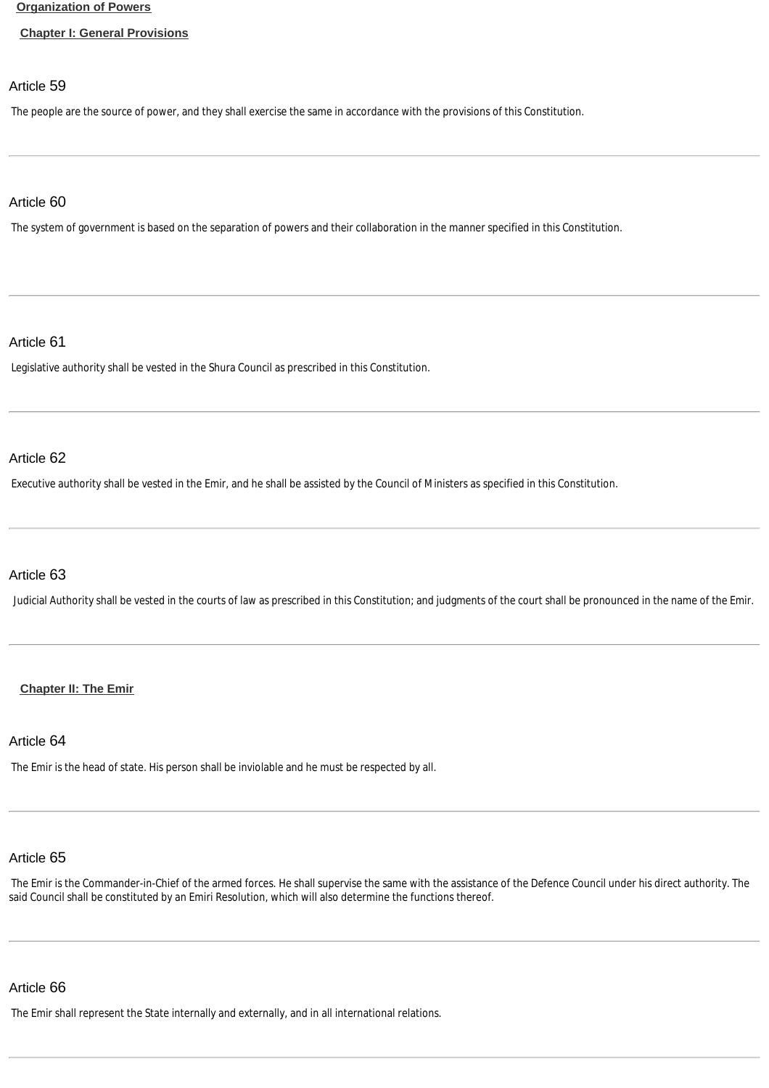#### **[Organization of Powers](http://www.almeezan.qa/DownloadPage.aspx?Target=All&type=2&lawID=2284&language=en#)**

#### <span id="page-8-0"></span>**[Chapter I: General Provisions](http://www.almeezan.qa/DownloadPage.aspx?Target=All&type=2&lawID=2284&language=en#)**

#### Article 59

The people are the source of power, and they shall exercise the same in accordance with the provisions of this Constitution.

#### Article 60

The system of government is based on the separation of powers and their collaboration in the manner specified in this Constitution.

#### Article 61

Legislative authority shall be vested in the Shura Council as prescribed in this Constitution.

### Article 62

Executive authority shall be vested in the Emir, and he shall be assisted by the Council of Ministers as specified in this Constitution.

### Article 63

Judicial Authority shall be vested in the courts of law as prescribed in this Constitution; and judgments of the court shall be pronounced in the name of the Emir.

#### <span id="page-8-1"></span>**[Chapter II: The Emir](http://www.almeezan.qa/DownloadPage.aspx?Target=All&type=2&lawID=2284&language=en#)**

#### Article 64

The Emir is the head of state. His person shall be inviolable and he must be respected by all.

# Article 65

The Emir is the Commander-in-Chief of the armed forces. He shall supervise the same with the assistance of the Defence Council under his direct authority. The said Council shall be constituted by an Emiri Resolution, which will also determine the functions thereof.

# Article 66

The Emir shall represent the State internally and externally, and in all international relations.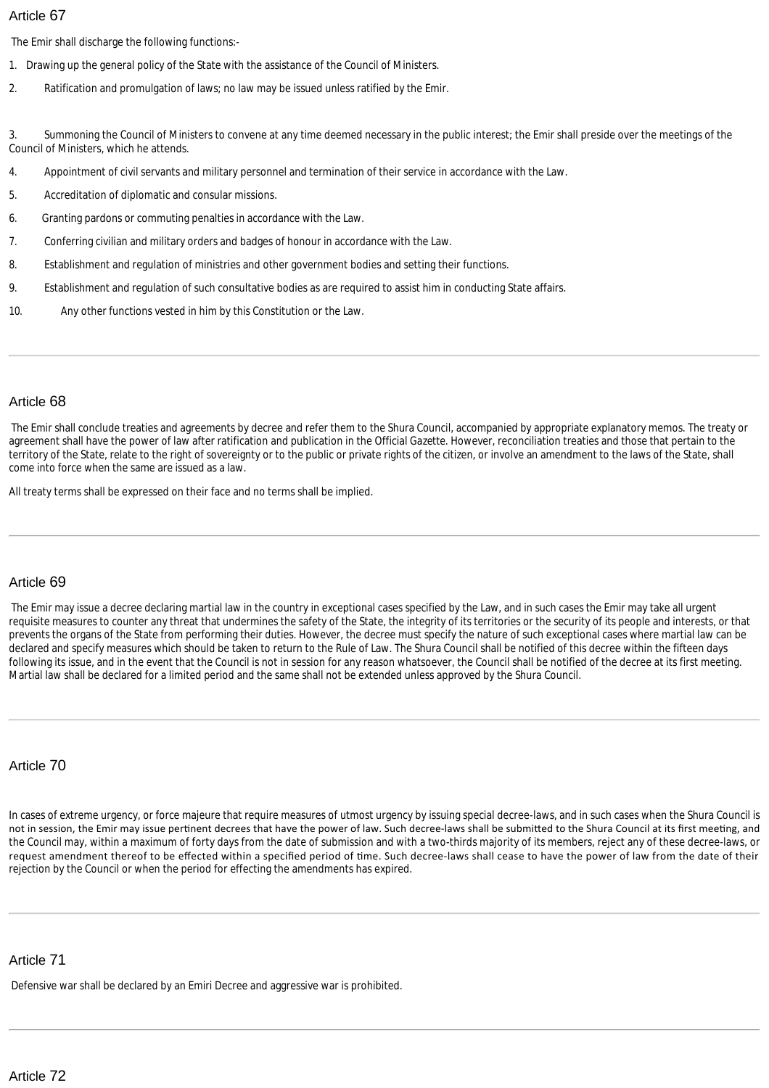The Emir shall discharge the following functions:-

- 1. Drawing up the general policy of the State with the assistance of the Council of Ministers.
- 2. Ratification and promulgation of laws; no law may be issued unless ratified by the Emir.

3. Summoning the Council of Ministers to convene at any time deemed necessary in the public interest; the Emir shall preside over the meetings of the Council of Ministers, which he attends.

- 4. Appointment of civil servants and military personnel and termination of their service in accordance with the Law.
- 5. Accreditation of diplomatic and consular missions.
- 6. Granting pardons or commuting penalties in accordance with the Law.
- 7. Conferring civilian and military orders and badges of honour in accordance with the Law.
- 8. Establishment and regulation of ministries and other government bodies and setting their functions.
- 9. Establishment and regulation of such consultative bodies as are required to assist him in conducting State affairs.
- 10. Any other functions vested in him by this Constitution or the Law.

# Article 68

The Emir shall conclude treaties and agreements by decree and refer them to the Shura Council, accompanied by appropriate explanatory memos. The treaty or agreement shall have the power of law after ratification and publication in the Official *Gazette*. However, reconciliation treaties and those that pertain to the territory of the State, relate to the right of sovereignty or to the public or private rights of the citizen, or involve an amendment to the laws of the State, shall come into force when the same are issued as a law.

All treaty terms shall be expressed on their face and no terms shall be implied.

# Article 69

The Emir may issue a decree declaring martial law in the country in exceptional cases specified by the Law, and in such cases the Emir may take all urgent requisite measures to counter any threat that undermines the safety of the State, the integrity of its territories or the security of its people and interests, or that prevents the organs of the State from performing their duties. However, the decree must specify the nature of such exceptional cases where martial law can be declared and specify measures which should be taken to return to the Rule of Law. The Shura Council shall be notified of this decree within the fifteen days following its issue, and in the event that the Council is not in session for any reason whatsoever, the Council shall be notified of the decree at its first meeting. Martial law shall be declared for a limited period and the same shall not be extended unless approved by the Shura Council.

# Article 70

In cases of extreme urgency, or force majeure that require measures of utmost urgency by issuing special decree-laws, and in such cases when the Shura Council is not in session, the Emir may issue pertinent decrees that have the power of law. Such decree-laws shall be submitted to the Shura Council at its first meeting, and the Council may, within a maximum of forty days from the date of submission and with a two-thirds majority of its members, reject any of these decree-laws, or request amendment thereof to be effected within a specified period of time. Such decree-laws shall cease to have the power of law from the date of their rejection by the Council or when the period for effecting the amendments has expired.

# Article 71

Defensive war shall be declared by an Emiri Decree and aggressive war is prohibited.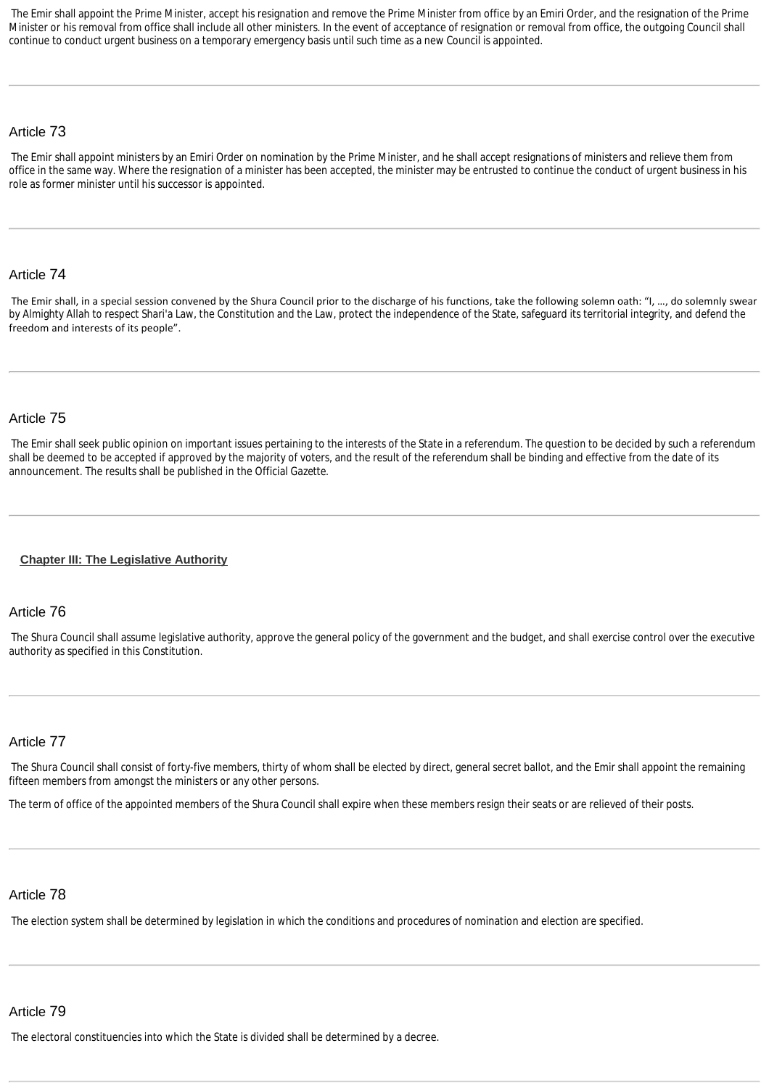The Emir shall appoint the Prime Minister, accept his resignation and remove the Prime Minister from office by an Emiri Order, and the resignation of the Prime Minister or his removal from office shall include all other ministers. In the event of acceptance of resignation or removal from office, the outgoing Council shall continue to conduct urgent business on a temporary emergency basis until such time as a new Council is appointed.

#### Article 73

The Emir shall appoint ministers by an Emiri Order on nomination by the Prime Minister, and he shall accept resignations of ministers and relieve them from office in the same way. Where the resignation of a minister has been accepted, the minister may be entrusted to continue the conduct of urgent business in his role as former minister until his successor is appointed.

#### Article 74

The Emir shall, in a special session convened by the Shura Council prior to the discharge of his functions, take the following solemn oath: "I, …, do solemnly swear by Almighty Allah to respect Shari'a Law, the Constitution and the Law, protect the independence of the State, safeguard its territorial integrity, and defend the freedom and interests of its people".

# Article 75

The Emir shall seek public opinion on important issues pertaining to the interests of the State in a referendum. The question to be decided by such a referendum shall be deemed to be accepted if approved by the majority of voters, and the result of the referendum shall be binding and effective from the date of its announcement. The results shall be published in the Official *Gazette*.

#### <span id="page-10-0"></span>**[Chapter III: The Legislative Authority](http://www.almeezan.qa/DownloadPage.aspx?Target=All&type=2&lawID=2284&language=en#)**

#### Article 76

The Shura Council shall assume legislative authority, approve the general policy of the government and the budget, and shall exercise control over the executive authority as specified in this Constitution.

#### Article 77

The Shura Council shall consist of forty-five members, thirty of whom shall be elected by direct, general secret ballot, and the Emir shall appoint the remaining fifteen members from amongst the ministers or any other persons.

The term of office of the appointed members of the Shura Council shall expire when these members resign their seats or are relieved of their posts.

#### Article 78

The election system shall be determined by legislation in which the conditions and procedures of nomination and election are specified.

# Article 79

The electoral constituencies into which the State is divided shall be determined by a decree.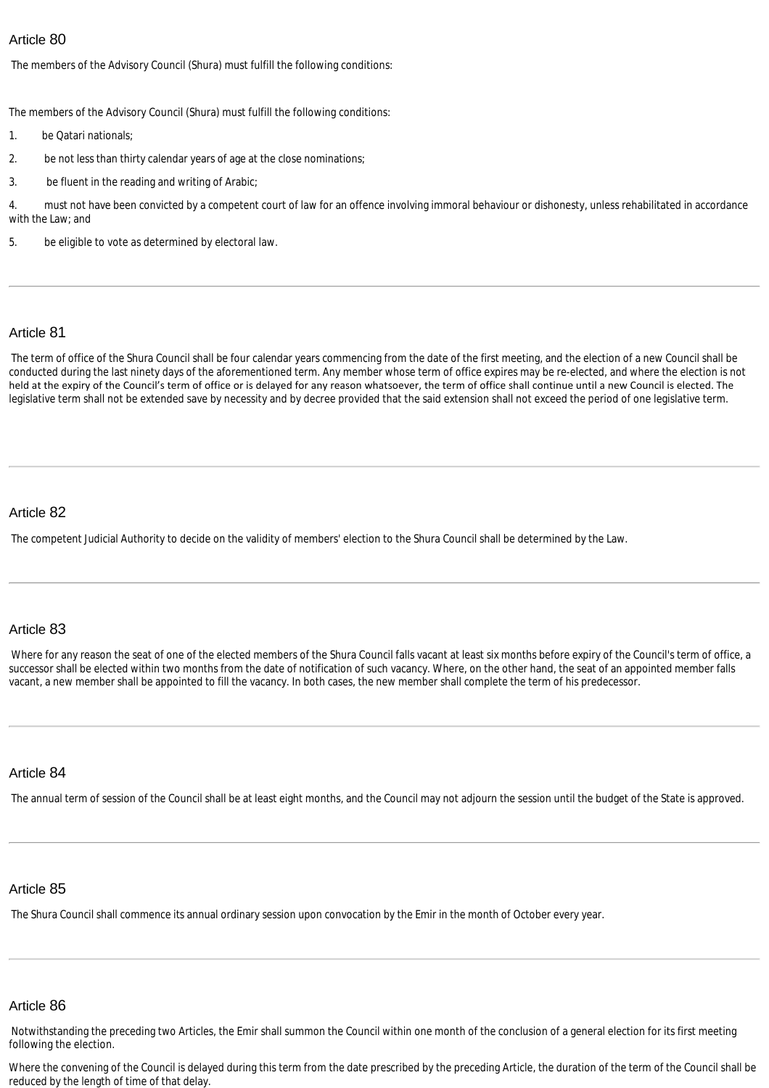The members of the Advisory Council (Shura) must fulfill the following conditions:

The members of the Advisory Council (Shura) must fulfill the following conditions:

- 1. be Qatari nationals;
- 2. be not less than thirty calendar years of age at the close nominations;
- 3. be fluent in the reading and writing of Arabic;

4. must not have been convicted by a competent court of law for an offence involving immoral behaviour or dishonesty, unless rehabilitated in accordance with the Law; and

5. be eligible to vote as determined by electoral law.

### Article 81

The term of office of the Shura Council shall be four calendar years commencing from the date of the first meeting, and the election of a new Council shall be conducted during the last ninety days of the aforementioned term. Any member whose term of office expires may be re-elected, and where the election is not held at the expiry of the Council's term of office or is delayed for any reason whatsoever, the term of office shall continue until a new Council is elected. The legislative term shall not be extended save by necessity and by decree provided that the said extension shall not exceed the period of one legislative term.

#### Article 82

The competent Judicial Authority to decide on the validity of members' election to the Shura Council shall be determined by the Law.

### Article 83

Where for any reason the seat of one of the elected members of the Shura Council falls vacant at least six months before expiry of the Council's term of office, a successor shall be elected within two months from the date of notification of such vacancy. Where, on the other hand, the seat of an appointed member falls vacant, a new member shall be appointed to fill the vacancy. In both cases, the new member shall complete the term of his predecessor.

#### Article 84

The annual term of session of the Council shall be at least eight months, and the Council may not adjourn the session until the budget of the State is approved.

#### Article 85

The Shura Council shall commence its annual ordinary session upon convocation by the Emir in the month of October every year.

#### Article 86

Notwithstanding the preceding two Articles, the Emir shall summon the Council within one month of the conclusion of a general election for its first meeting following the election.

Where the convening of the Council is delayed during this term from the date prescribed by the preceding Article, the duration of the term of the Council shall be reduced by the length of time of that delay.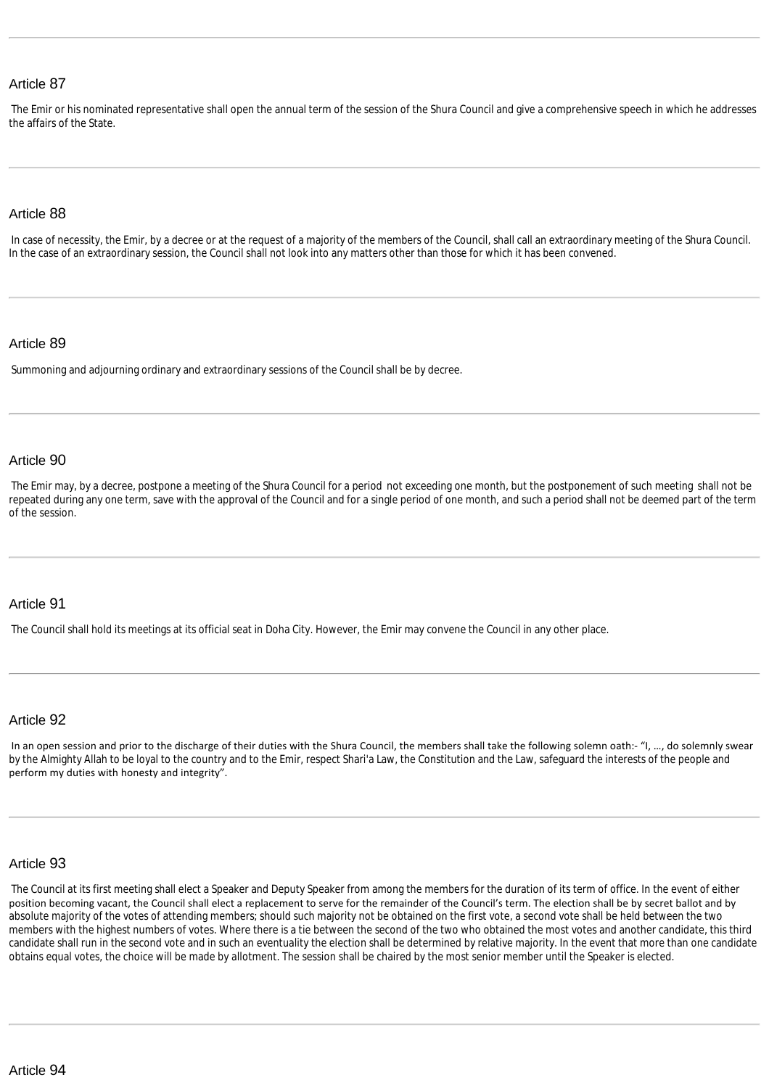The Emir or his nominated representative shall open the annual term of the session of the Shura Council and give a comprehensive speech in which he addresses the affairs of the State.

#### Article 88

In case of necessity, the Emir, by a decree or at the request of a majority of the members of the Council, shall call an extraordinary meeting of the Shura Council. In the case of an extraordinary session, the Council shall not look into any matters other than those for which it has been convened.

#### Article 89

Summoning and adjourning ordinary and extraordinary sessions of the Council shall be by decree.

#### Article 90

The Emir may, by a decree, postpone a meeting of the Shura Council for a period not exceeding one month, but the postponement of such meeting shall not be repeated during any one term, save with the approval of the Council and for a single period of one month, and such a period shall not be deemed part of the term of the session.

#### Article 91

The Council shall hold its meetings at its official seat in Doha City. However, the Emir may convene the Council in any other place.

#### Article 92

In an open session and prior to the discharge of their duties with the Shura Council, the members shall take the following solemn oath:- "I, ..., do solemnly swear by the Almighty Allah to be loyal to the country and to the Emir, respect Shari'a Law, the Constitution and the Law, safeguard the interests of the people and perform my duties with honesty and integrity".

#### Article 93

The Council at its first meeting shall elect a Speaker and Deputy Speaker from among the members for the duration of its term of office. In the event of either position becoming vacant, the Council shall elect a replacement to serve for the remainder of the Council's term. The election shall be by secret ballot and by absolute majority of the votes of attending members; should such majority not be obtained on the first vote, a second vote shall be held between the two members with the highest numbers of votes. Where there is a tie between the second of the two who obtained the most votes and another candidate, this third candidate shall run in the second vote and in such an eventuality the election shall be determined by relative majority. In the event that more than one candidate obtains equal votes, the choice will be made by allotment. The session shall be chaired by the most senior member until the Speaker is elected.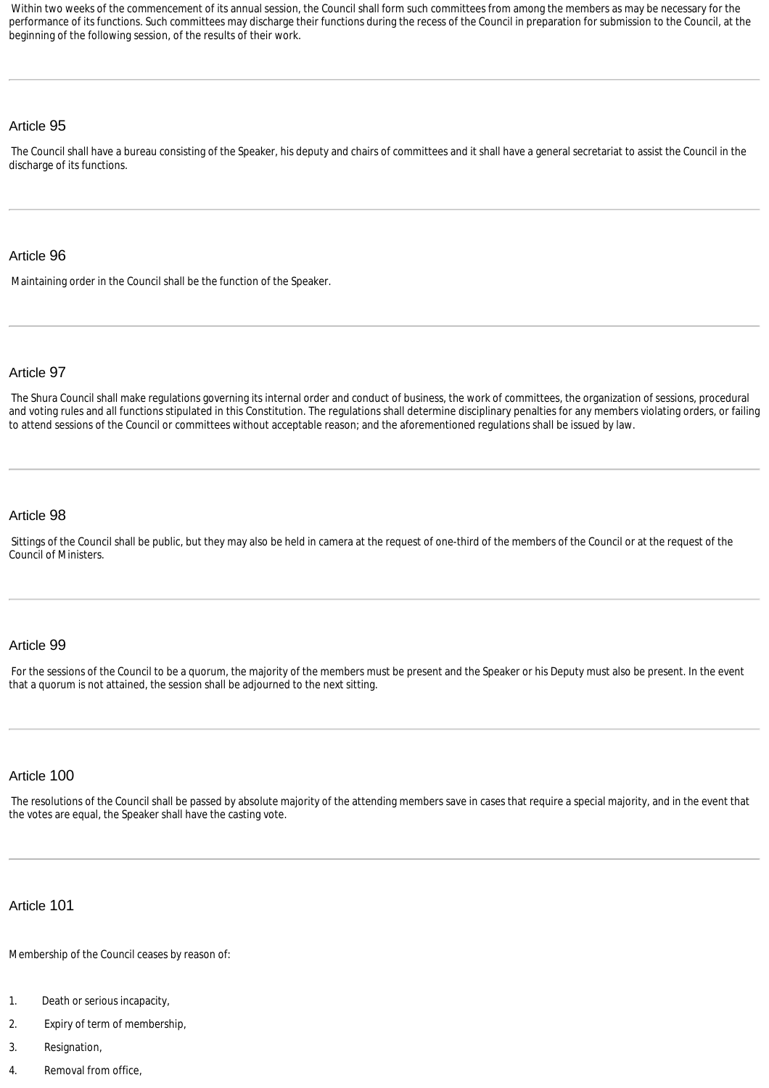Within two weeks of the commencement of its annual session, the Council shall form such committees from among the members as may be necessary for the performance of its functions. Such committees may discharge their functions during the recess of the Council in preparation for submission to the Council, at the beginning of the following session, of the results of their work.

### Article 95

The Council shall have a bureau consisting of the Speaker, his deputy and chairs of committees and it shall have a general secretariat to assist the Council in the discharge of its functions.

#### Article 96

Maintaining order in the Council shall be the function of the Speaker.

#### Article 97

The Shura Council shall make regulations governing its internal order and conduct of business, the work of committees, the organization of sessions, procedural and voting rules and all functions stipulated in this Constitution. The regulations shall determine disciplinary penalties for any members violating orders, or failing to attend sessions of the Council or committees without acceptable reason; and the aforementioned regulations shall be issued by law.

#### Article 98

Sittings of the Council shall be public, but they may also be held in camera at the request of one-third of the members of the Council or at the request of the Council of Ministers.

#### Article 99

For the sessions of the Council to be a quorum, the majority of the members must be present and the Speaker or his Deputy must also be present. In the event that a quorum is not attained, the session shall be adjourned to the next sitting.

#### Article 100

The resolutions of the Council shall be passed by absolute majority of the attending members save in cases that require a special majority, and in the event that the votes are equal, the Speaker shall have the casting vote.

#### Article 101

Membership of the Council ceases by reason of:

- 1. Death or serious incapacity,
- 2. Expiry of term of membership,
- 3. Resignation,
- 4. Removal from office,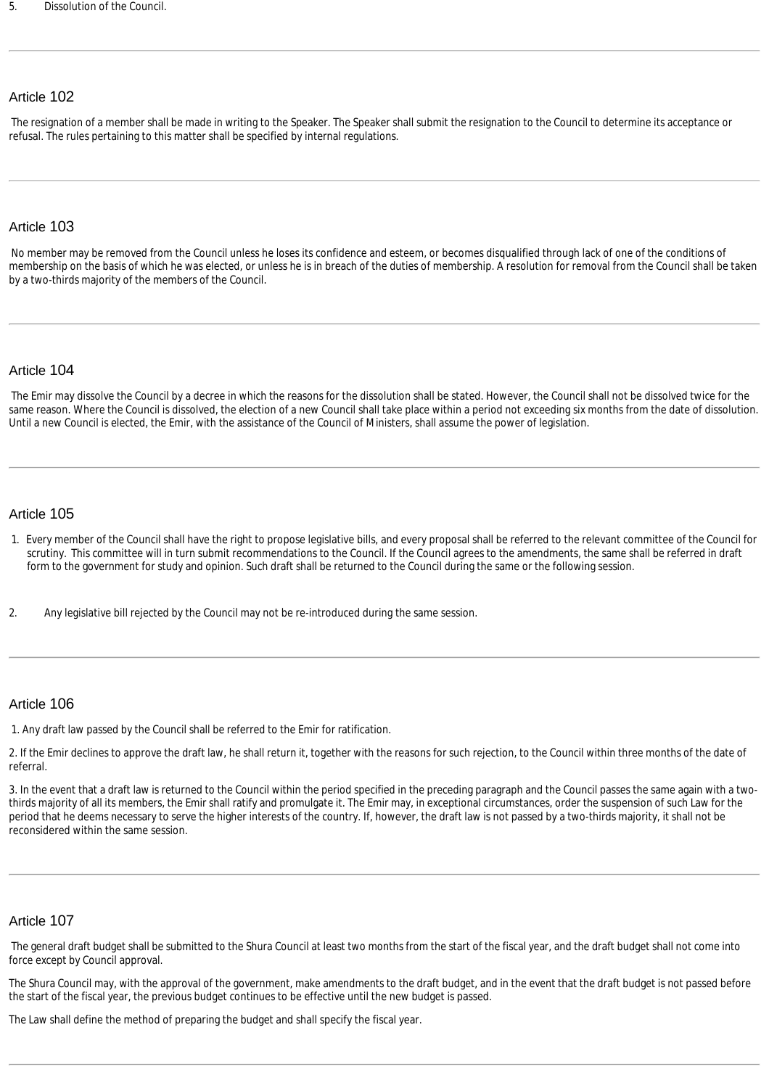The resignation of a member shall be made in writing to the Speaker. The Speaker shall submit the resignation to the Council to determine its acceptance or refusal. The rules pertaining to this matter shall be specified by internal regulations.

#### Article 103

No member may be removed from the Council unless he loses its confidence and esteem, or becomes disqualified through lack of one of the conditions of membership on the basis of which he was elected, or unless he is in breach of the duties of membership. A resolution for removal from the Council shall be taken by a two-thirds majority of the members of the Council.

#### Article 104

The Emir may dissolve the Council by a decree in which the reasons for the dissolution shall be stated. However, the Council shall not be dissolved twice for the same reason. Where the Council is dissolved, the election of a new Council shall take place within a period not exceeding six months from the date of dissolution. Until a new Council is elected, the Emir, with the assistance of the Council of Ministers, shall assume the power of legislation.

#### Article 105

- 1. Every member of the Council shall have the right to propose legislative bills, and every proposal shall be referred to the relevant committee of the Council for scrutiny. This committee will in turn submit recommendations to the Council. If the Council agrees to the amendments, the same shall be referred in draft form to the government for study and opinion. Such draft shall be returned to the Council during the same or the following session.
- 2. Any legislative bill rejected by the Council may not be re-introduced during the same session.

#### Article 106

1. Any draft law passed by the Council shall be referred to the Emir for ratification.

2. If the Emir declines to approve the draft law, he shall return it, together with the reasons for such rejection, to the Council within three months of the date of referral.

3. In the event that a draft law is returned to the Council within the period specified in the preceding paragraph and the Council passes the same again with a twothirds majority of all its members, the Emir shall ratify and promulgate it. The Emir may, in exceptional circumstances, order the suspension of such Law for the period that he deems necessary to serve the higher interests of the country. If, however, the draft law is not passed by a two-thirds majority, it shall not be reconsidered within the same session.

#### Article 107

The general draft budget shall be submitted to the Shura Council at least two months from the start of the fiscal year, and the draft budget shall not come into force except by Council approval.

The Shura Council may, with the approval of the government, make amendments to the draft budget, and in the event that the draft budget is not passed before the start of the fiscal year, the previous budget continues to be effective until the new budget is passed.

The Law shall define the method of preparing the budget and shall specify the fiscal year.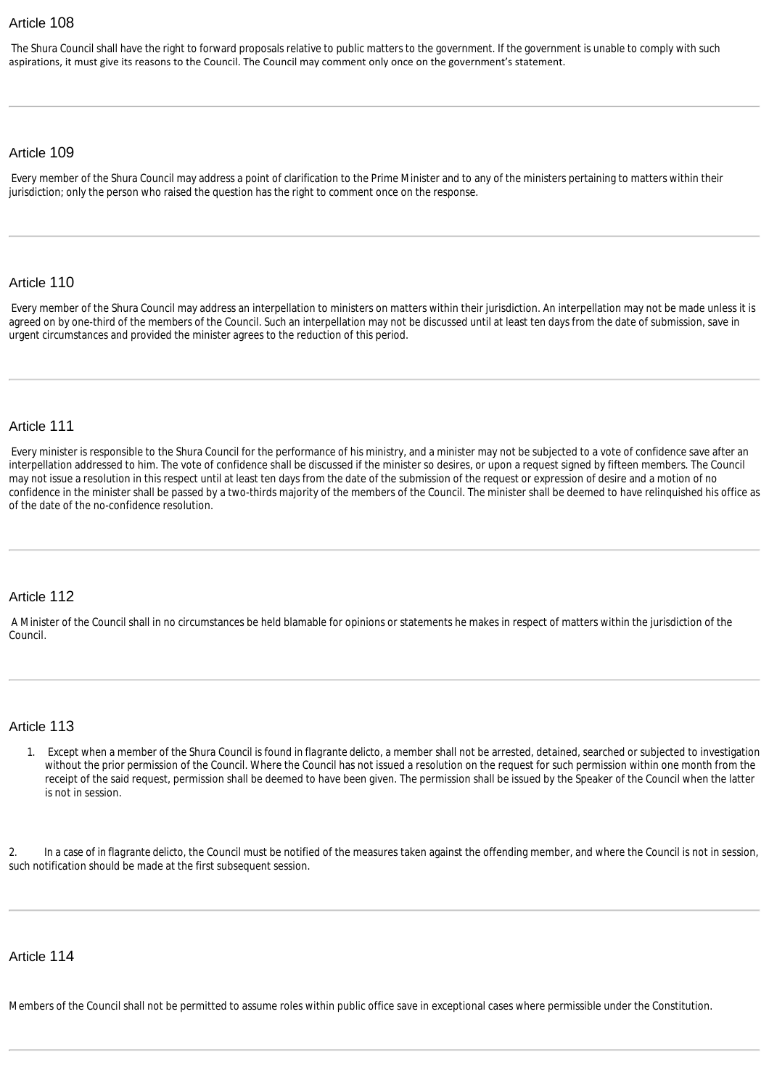The Shura Council shall have the right to forward proposals relative to public matters to the government. If the government is unable to comply with such aspirations, it must give its reasons to the Council. The Council may comment only once on the government's statement.

#### Article 109

Every member of the Shura Council may address a point of clarification to the Prime Minister and to any of the ministers pertaining to matters within their jurisdiction; only the person who raised the question has the right to comment once on the response.

#### Article 110

Every member of the Shura Council may address an interpellation to ministers on matters within their jurisdiction. An interpellation may not be made unless it is agreed on by one-third of the members of the Council. Such an interpellation may not be discussed until at least ten days from the date of submission, save in urgent circumstances and provided the minister agrees to the reduction of this period.

#### Article 111

Every minister is responsible to the Shura Council for the performance of his ministry, and a minister may not be subjected to a vote of confidence save after an interpellation addressed to him. The vote of confidence shall be discussed if the minister so desires, or upon a request signed by fifteen members. The Council may not issue a resolution in this respect until at least ten days from the date of the submission of the request or expression of desire and a motion of no confidence in the minister shall be passed by a two-thirds majority of the members of the Council. The minister shall be deemed to have relinquished his office as of the date of the no-confidence resolution.

#### Article 112

A Minister of the Council shall in no circumstances be held blamable for opinions or statements he makes in respect of matters within the jurisdiction of the Council.

#### Article 113

1. Except when a member of the Shura Council is found *in flagrante delicto*, a member shall not be arrested, detained, searched or subjected to investigation without the prior permission of the Council. Where the Council has not issued a resolution on the request for such permission within one month from the receipt of the said request, permission shall be deemed to have been given. The permission shall be issued by the Speaker of the Council when the latter is not in session.

2. In a case of *in flagrante delicto*, the Council must be notified of the measures taken against the offending member, and where the Council is not in session, such notification should be made at the first subsequent session.

# Article 114

Members of the Council shall not be permitted to assume roles within public office save in exceptional cases where permissible under the Constitution.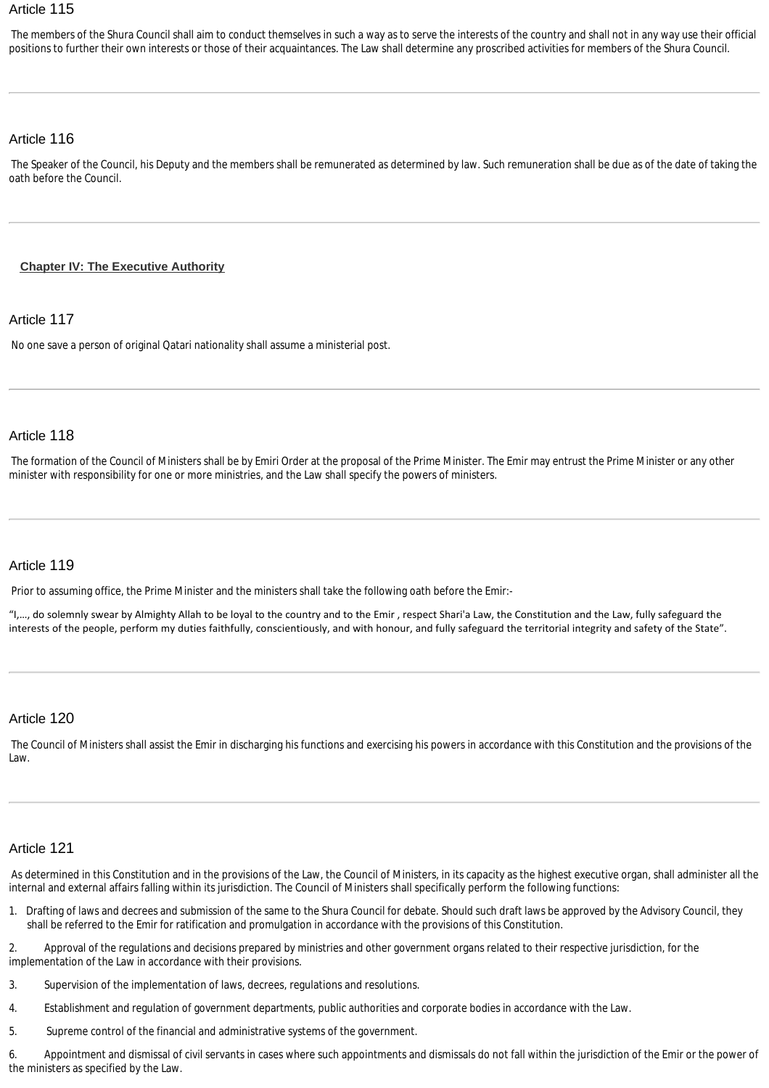The members of the Shura Council shall aim to conduct themselves in such a way as to serve the interests of the country and shall not in any way use their official positions to further their own interests or those of their acquaintances. The Law shall determine any proscribed activities for members of the Shura Council.

# Article 116

The Speaker of the Council, his Deputy and the members shall be remunerated as determined by law. Such remuneration shall be due as of the date of taking the oath before the Council.

# <span id="page-16-0"></span>**[Chapter IV: The Executive Authority](http://www.almeezan.qa/DownloadPage.aspx?Target=All&type=2&lawID=2284&language=en#)**

# Article 117

No one save a person of original Qatari nationality shall assume a ministerial post.

#### Article 118

The formation of the Council of Ministers shall be by Emiri Order at the proposal of the Prime Minister. The Emir may entrust the Prime Minister or any other minister with responsibility for one or more ministries, and the Law shall specify the powers of ministers.

# Article 119

Prior to assuming office, the Prime Minister and the ministers shall take the following oath before the Emir:-

"I,…, do solemnly swear by Almighty Allah to be loyal to the country and to the Emir , respect Shari'a Law, the Constitution and the Law, fully safeguard the interests of the people, perform my duties faithfully, conscientiously, and with honour, and fully safeguard the territorial integrity and safety of the State".

### Article 120

The Council of Ministers shall assist the Emir in discharging his functions and exercising his powers in accordance with this Constitution and the provisions of the Law.

#### Article 121

As determined in this Constitution and in the provisions of the Law, the Council of Ministers, in its capacity as the highest executive organ, shall administer all the internal and external affairs falling within its jurisdiction. The Council of Ministers shall specifically perform the following functions:

1. Drafting of laws and decrees and submission of the same to the Shura Council for debate. Should such draft laws be approved by the Advisory Council, they shall be referred to the Emir for ratification and promulgation in accordance with the provisions of this Constitution.

2. Approval of the regulations and decisions prepared by ministries and other government organs related to their respective jurisdiction, for the implementation of the Law in accordance with their provisions.

- 3. Supervision of the implementation of laws, decrees, regulations and resolutions.
- 4. Establishment and regulation of government departments, public authorities and corporate bodies in accordance with the Law.
- 5. Supreme control of the financial and administrative systems of the government.

6. Appointment and dismissal of civil servants in cases where such appointments and dismissals do not fall within the jurisdiction of the Emir or the power of the ministers as specified by the Law.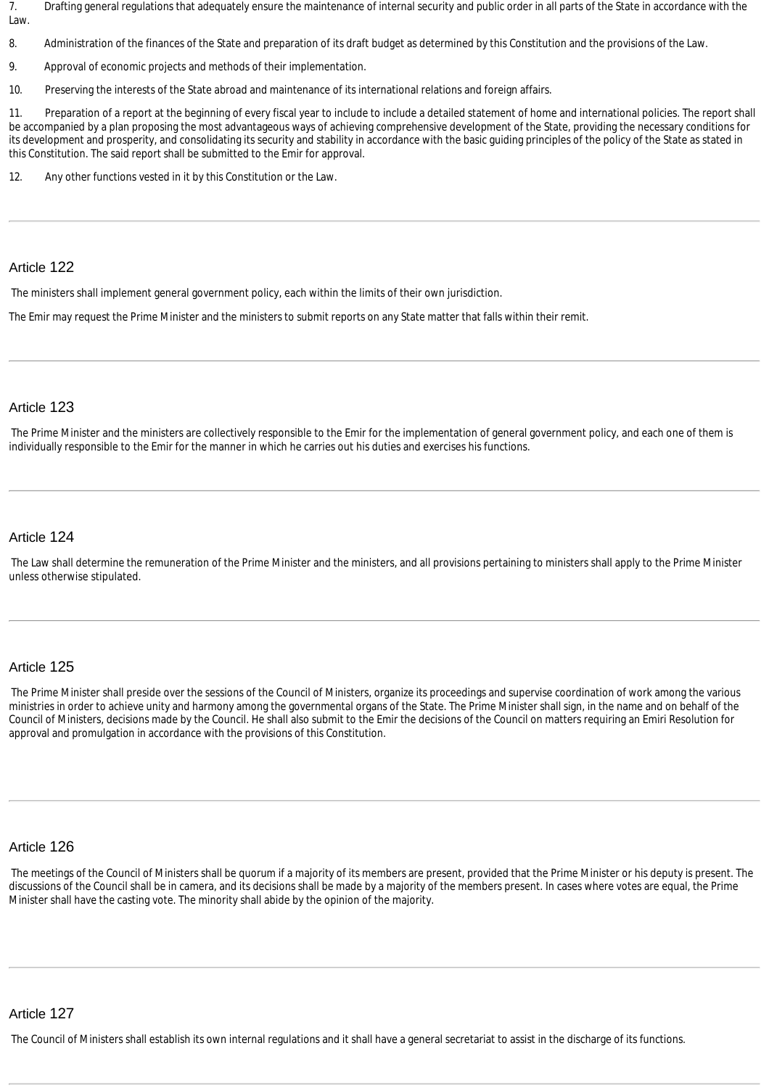7. Drafting general regulations that adequately ensure the maintenance of internal security and public order in all parts of the State in accordance with the Law.

8. Administration of the finances of the State and preparation of its draft budget as determined by this Constitution and the provisions of the Law.

9. Approval of economic projects and methods of their implementation.

10. Preserving the interests of the State abroad and maintenance of its international relations and foreign affairs.

11. Preparation of a report at the beginning of every fiscal year to include to include a detailed statement of home and international policies. The report shall be accompanied by a plan proposing the most advantageous ways of achieving comprehensive development of the State, providing the necessary conditions for its development and prosperity, and consolidating its security and stability in accordance with the basic guiding principles of the policy of the State as stated in this Constitution. The said report shall be submitted to the Emir for approval.

12. Any other functions vested in it by this Constitution or the Law.

#### Article 122

The ministers shall implement general government policy, each within the limits of their own jurisdiction.

The Emir may request the Prime Minister and the ministers to submit reports on any State matter that falls within their remit.

#### Article 123

The Prime Minister and the ministers are collectively responsible to the Emir for the implementation of general government policy, and each one of them is individually responsible to the Emir for the manner in which he carries out his duties and exercises his functions.

#### Article 124

The Law shall determine the remuneration of the Prime Minister and the ministers, and all provisions pertaining to ministers shall apply to the Prime Minister unless otherwise stipulated.

#### Article 125

The Prime Minister shall preside over the sessions of the Council of Ministers, organize its proceedings and supervise coordination of work among the various ministries in order to achieve unity and harmony among the governmental organs of the State. The Prime Minister shall sign, in the name and on behalf of the Council of Ministers, decisions made by the Council. He shall also submit to the Emir the decisions of the Council on matters requiring an Emiri Resolution for approval and promulgation in accordance with the provisions of this Constitution.

#### Article 126

The meetings of the Council of Ministers shall be quorum if a majority of its members are present, provided that the Prime Minister or his deputy is present. The discussions of the Council shall be in camera, and its decisions shall be made by a majority of the members present. In cases where votes are equal, the Prime Minister shall have the casting vote. The minority shall abide by the opinion of the majority.

#### Article 127

The Council of Ministers shall establish its own internal regulations and it shall have a general secretariat to assist in the discharge of its functions.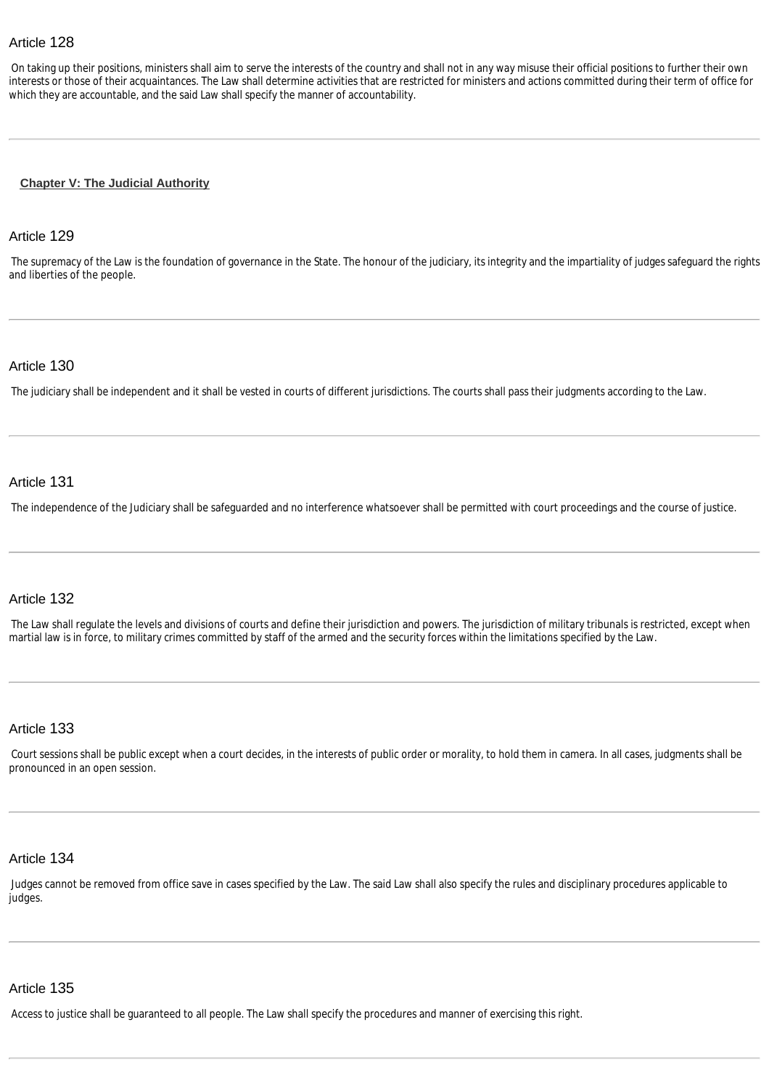On taking up their positions, ministers shall aim to serve the interests of the country and shall not in any way misuse their official positions to further their own interests or those of their acquaintances. The Law shall determine activities that are restricted for ministers and actions committed during their term of office for which they are accountable, and the said Law shall specify the manner of accountability.

#### <span id="page-18-0"></span>**[Chapter V: The Judicial Authority](http://www.almeezan.qa/DownloadPage.aspx?Target=All&type=2&lawID=2284&language=en#)**

#### Article 129

The supremacy of the Law is the foundation of governance in the State. The honour of the judiciary, its integrity and the impartiality of judges safeguard the rights and liberties of the people.

#### Article 130

The judiciary shall be independent and it shall be vested in courts of different jurisdictions. The courts shall pass their judgments according to the Law.

#### Article 131

The independence of the Judiciary shall be safeguarded and no interference whatsoever shall be permitted with court proceedings and the course of justice.

#### Article 132

The Law shall regulate the levels and divisions of courts and define their jurisdiction and powers. The jurisdiction of military tribunals is restricted, except when martial law is in force, to military crimes committed by staff of the armed and the security forces within the limitations specified by the Law.

#### Article 133

Court sessions shall be public except when a court decides, in the interests of public order or morality, to hold them in camera. In all cases, judgments shall be pronounced in an open session.

#### Article 134

Judges cannot be removed from office save in cases specified by the Law. The said Law shall also specify the rules and disciplinary procedures applicable to judges.

### Article 135

Access to justice shall be guaranteed to all people. The Law shall specify the procedures and manner of exercising this right.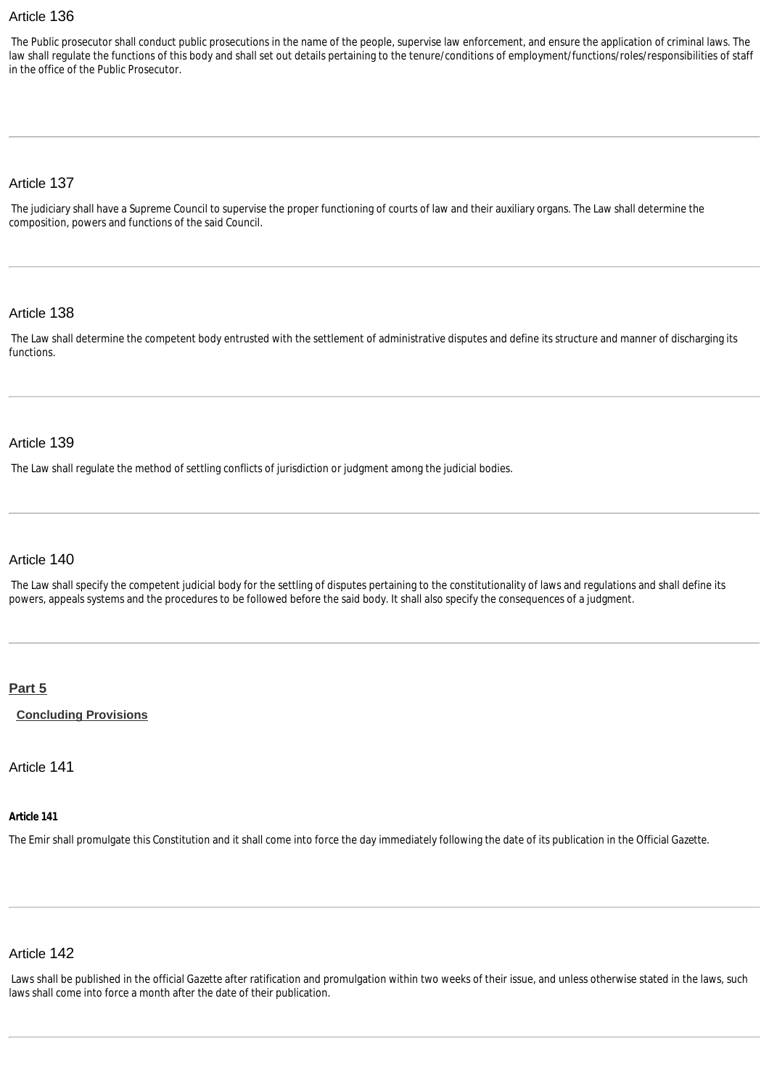The Public prosecutor shall conduct public prosecutions in the name of the people, supervise law enforcement, and ensure the application of criminal laws. The law shall regulate the functions of this body and shall set out details pertaining to the tenure/conditions of employment/functions/roles/responsibilities of staff in the office of the Public Prosecutor.

#### Article 137

The judiciary shall have a Supreme Council to supervise the proper functioning of courts of law and their auxiliary organs. The Law shall determine the composition, powers and functions of the said Council.

#### Article 138

The Law shall determine the competent body entrusted with the settlement of administrative disputes and define its structure and manner of discharging its functions.

#### Article 139

The Law shall regulate the method of settling conflicts of jurisdiction or judgment among the judicial bodies.

# Article 140

The Law shall specify the competent judicial body for the settling of disputes pertaining to the constitutionality of laws and regulations and shall define its powers, appeals systems and the procedures to be followed before the said body. It shall also specify the consequences of a judgment.

#### <span id="page-19-0"></span>**[Part 5](http://www.almeezan.qa/DownloadPage.aspx?Target=All&type=2&lawID=2284&language=en#)**

<span id="page-19-1"></span>**[Concluding Provisions](http://www.almeezan.qa/DownloadPage.aspx?Target=All&type=2&lawID=2284&language=en#)**

Article 141

#### **Article 141**

The Emir shall promulgate this Constitution and it shall come into force the day immediately following the date of its publication in the Official *Gazette*.

# Article 142

Laws shall be published in the official *Gazette* after ratification and promulgation within two weeks of their issue, and unless otherwise stated in the laws, such laws shall come into force a month after the date of their publication.